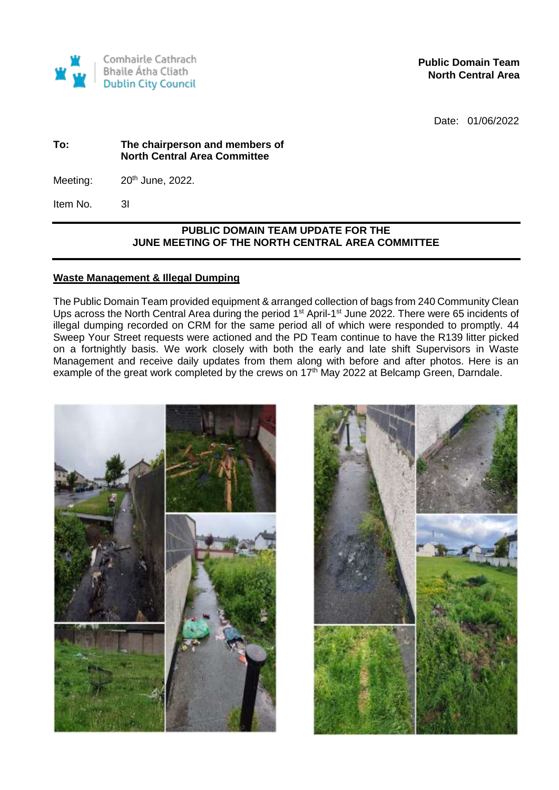

**Public Domain Team North Central Area** 

Date: 01/06/2022

#### **To: The chairperson and members of North Central Area Committee**

Meeting:  $20<sup>th</sup>$  June, 2022.

Item No. 3I

## **PUBLIC DOMAIN TEAM UPDATE FOR THE JUNE MEETING OF THE NORTH CENTRAL AREA COMMITTEE**

## **Waste Management & Illegal Dumping**

The Public Domain Team provided equipment & arranged collection of bags from 240 Community Clean Ups across the North Central Area during the period 1<sup>st</sup> April-1<sup>st</sup> June 2022. There were 65 incidents of illegal dumping recorded on CRM for the same period all of which were responded to promptly. 44 Sweep Your Street requests were actioned and the PD Team continue to have the R139 litter picked on a fortnightly basis. We work closely with both the early and late shift Supervisors in Waste Management and receive daily updates from them along with before and after photos. Here is an example of the great work completed by the crews on 17<sup>th</sup> May 2022 at Belcamp Green, Darndale.

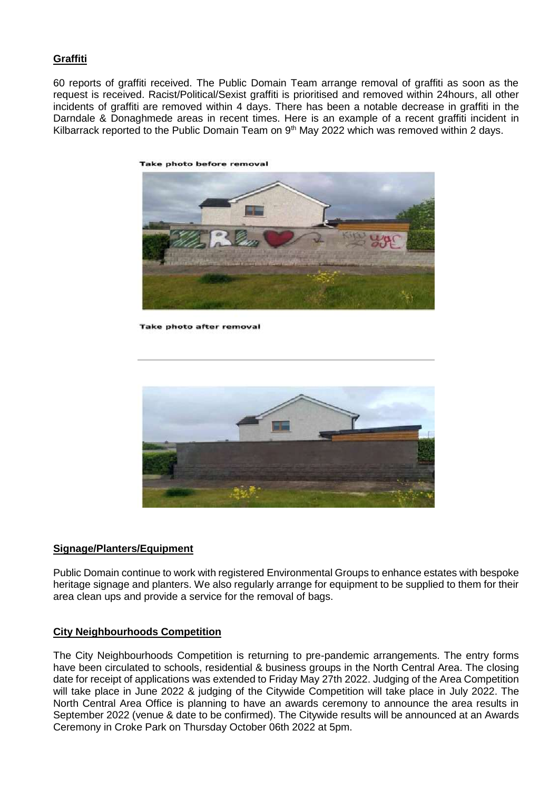## **Graffiti**

60 reports of graffiti received. The Public Domain Team arrange removal of graffiti as soon as the request is received. Racist/Political/Sexist graffiti is prioritised and removed within 24hours, all other incidents of graffiti are removed within 4 days. There has been a notable decrease in graffiti in the Darndale & Donaghmede areas in recent times. Here is an example of a recent graffiti incident in Kilbarrack reported to the Public Domain Team on 9<sup>th</sup> May 2022 which was removed within 2 days.



**Take photo before removal** 

**Take photo after removal** 



#### **Signage/Planters/Equipment**

Public Domain continue to work with registered Environmental Groups to enhance estates with bespoke heritage signage and planters. We also regularly arrange for equipment to be supplied to them for their area clean ups and provide a service for the removal of bags.

#### **City Neighbourhoods Competition**

The City Neighbourhoods Competition is returning to pre-pandemic arrangements. The entry forms have been circulated to schools, residential & business groups in the North Central Area. The closing date for receipt of applications was extended to Friday May 27th 2022. Judging of the Area Competition will take place in June 2022 & judging of the Citywide Competition will take place in July 2022. The North Central Area Office is planning to have an awards ceremony to announce the area results in September 2022 (venue & date to be confirmed). The Citywide results will be announced at an Awards Ceremony in Croke Park on Thursday October 06th 2022 at 5pm.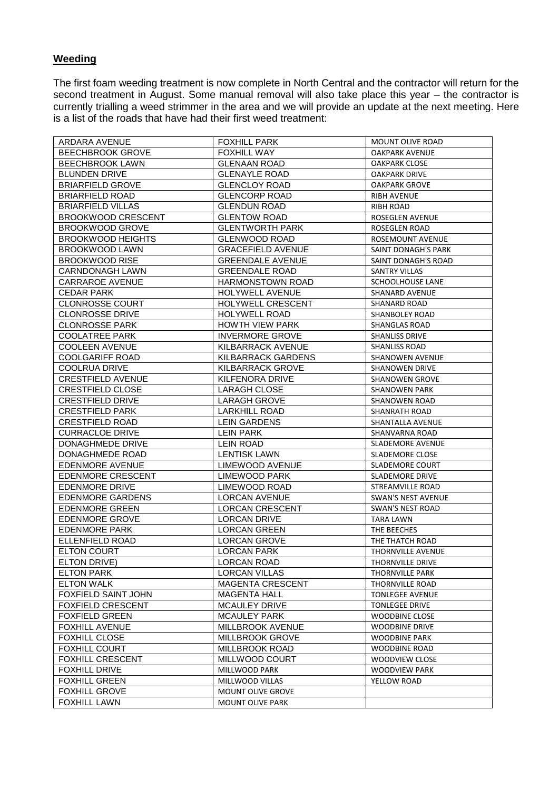# **Weeding**

The first foam weeding treatment is now complete in North Central and the contractor will return for the second treatment in August. Some manual removal will also take place this year – the contractor is currently trialling a weed strimmer in the area and we will provide an update at the next meeting. Here is a list of the roads that have had their first weed treatment:

| ARDARA AVENUE                                       | <b>FOXHILL PARK</b>                        | MOUNT OLIVE ROAD          |
|-----------------------------------------------------|--------------------------------------------|---------------------------|
| <b>BEECHBROOK GROVE</b>                             | <b>FOXHILL WAY</b>                         | <b>OAKPARK AVENUE</b>     |
| <b>BEECHBROOK LAWN</b>                              | <b>GLENAAN ROAD</b>                        | <b>OAKPARK CLOSE</b>      |
| <b>BLUNDEN DRIVE</b>                                | <b>GLENAYLE ROAD</b>                       | <b>OAKPARK DRIVE</b>      |
| <b>BRIARFIELD GROVE</b>                             | <b>GLENCLOY ROAD</b>                       | <b>OAKPARK GROVE</b>      |
| <b>BRIARFIELD ROAD</b>                              | <b>GLENCORP ROAD</b>                       | <b>RIBH AVENUE</b>        |
| <b>BRIARFIELD VILLAS</b>                            | <b>GLENDUN ROAD</b>                        | <b>RIBH ROAD</b>          |
| <b>BROOKWOOD CRESCENT</b>                           | <b>GLENTOW ROAD</b>                        | ROSEGLEN AVENUE           |
| <b>BROOKWOOD GROVE</b>                              | <b>GLENTWORTH PARK</b>                     | ROSEGLEN ROAD             |
| <b>BROOKWOOD HEIGHTS</b>                            | <b>GLENWOOD ROAD</b>                       | <b>ROSEMOUNT AVENUE</b>   |
| BROOKWOOD LAWN                                      | <b>GRACEFIELD AVENUE</b>                   | SAINT DONAGH'S PARK       |
| <b>BROOKWOOD RISE</b>                               | <b>GREENDALE AVENUE</b>                    | SAINT DONAGH'S ROAD       |
| CARNDONAGH LAWN                                     | <b>GREENDALE ROAD</b>                      | <b>SANTRY VILLAS</b>      |
| <b>CARRAROE AVENUE</b>                              | <b>HARMONSTOWN ROAD</b>                    | SCHOOLHOUSE LANE          |
| <b>CEDAR PARK</b>                                   | HOLYWELL AVENUE                            | <b>SHANARD AVENUE</b>     |
| <b>CLONROSSE COURT</b>                              | HOLYWELL CRESCENT                          | SHANARD ROAD              |
| <b>CLONROSSE DRIVE</b>                              | <b>HOLYWELL ROAD</b>                       | <b>SHANBOLEY ROAD</b>     |
| <b>CLONROSSE PARK</b>                               | <b>HOWTH VIEW PARK</b>                     | <b>SHANGLAS ROAD</b>      |
| <b>COOLATREE PARK</b>                               | <b>INVERMORE GROVE</b>                     | <b>SHANLISS DRIVE</b>     |
| <b>COOLEEN AVENUE</b>                               | KILBARRACK AVENUE                          | <b>SHANLISS ROAD</b>      |
| <b>COOLGARIFF ROAD</b>                              | KILBARRACK GARDENS                         | <b>SHANOWEN AVENUE</b>    |
|                                                     |                                            |                           |
| <b>COOLRUA DRIVE</b>                                | <b>KILBARRACK GROVE</b><br>KILFENORA DRIVE | <b>SHANOWEN DRIVE</b>     |
| <b>CRESTFIELD AVENUE</b><br><b>CRESTFIELD CLOSE</b> | <b>LARAGH CLOSE</b>                        | <b>SHANOWEN GROVE</b>     |
|                                                     |                                            | <b>SHANOWEN PARK</b>      |
| <b>CRESTFIELD DRIVE</b>                             | <b>LARAGH GROVE</b>                        | <b>SHANOWEN ROAD</b>      |
| <b>CRESTFIELD PARK</b>                              | <b>LARKHILL ROAD</b>                       | SHANRATH ROAD             |
| <b>CRESTFIELD ROAD</b>                              | <b>LEIN GARDENS</b>                        | SHANTALLA AVENUE          |
| <b>CURRACLOE DRIVE</b>                              | <b>LEIN PARK</b>                           | SHANVARNA ROAD            |
| DONAGHMEDE DRIVE                                    | <b>LEIN ROAD</b>                           | SLADEMORE AVENUE          |
| DONAGHMEDE ROAD                                     | <b>LENTISK LAWN</b>                        | SLADEMORE CLOSE           |
| EDENMORE AVENUE                                     | LIMEWOOD AVENUE                            | <b>SLADEMORE COURT</b>    |
| <b>EDENMORE CRESCENT</b>                            | <b>LIMEWOOD PARK</b>                       | SLADEMORE DRIVE           |
| <b>EDENMORE DRIVE</b>                               | LIMEWOOD ROAD                              | STREAMVILLE ROAD          |
| <b>EDENMORE GARDENS</b>                             | <b>LORCAN AVENUE</b>                       | <b>SWAN'S NEST AVENUE</b> |
| <b>EDENMORE GREEN</b>                               | <b>LORCAN CRESCENT</b>                     | <b>SWAN'S NEST ROAD</b>   |
| EDENMORE GROVE                                      | <b>LORCAN DRIVE</b>                        | TARA LAWN                 |
| <b>EDENMORE PARK</b>                                | <b>LORCAN GREEN</b>                        | THE BEECHES               |
| ELLENFIELD ROAD                                     | <b>LORCAN GROVE</b>                        | THE THATCH ROAD           |
| <b>ELTON COURT</b>                                  | <b>LORCAN PARK</b>                         | <b>THORNVILLE AVENUE</b>  |
| ELTON DRIVE)                                        | LORCAN ROAD                                | THORNVILLE DRIVE          |
| <b>ELTON PARK</b>                                   | <b>LORCAN VILLAS</b>                       | THORNVILLE PARK           |
| <b>ELTON WALK</b>                                   | <b>MAGENTA CRESCENT</b>                    | THORNVILLE ROAD           |
| <b>FOXFIELD SAINT JOHN</b>                          | <b>MAGENTA HALL</b>                        | <b>TONLEGEE AVENUE</b>    |
| FOXFIELD CRESCENT                                   | <b>MCAULEY DRIVE</b>                       | <b>TONLEGEE DRIVE</b>     |
| <b>FOXFIELD GREEN</b>                               | MCAULEY PARK                               | <b>WOODBINE CLOSE</b>     |
| <b>FOXHILL AVENUE</b>                               | <b>MILLBROOK AVENUE</b>                    | <b>WOODBINE DRIVE</b>     |
| <b>FOXHILL CLOSE</b>                                | MILLBROOK GROVE                            | <b>WOODBINE PARK</b>      |
| FOXHILL COURT                                       | MILLBROOK ROAD                             | WOODBINE ROAD             |
| <b>FOXHILL CRESCENT</b>                             | MILLWOOD COURT                             | <b>WOODVIEW CLOSE</b>     |
| <b>FOXHILL DRIVE</b>                                | MILLWOOD PARK                              | <b>WOODVIEW PARK</b>      |
| <b>FOXHILL GREEN</b>                                | MILLWOOD VILLAS                            | YELLOW ROAD               |
| <b>FOXHILL GROVE</b>                                | MOUNT OLIVE GROVE                          |                           |
| <b>FOXHILL LAWN</b>                                 | MOUNT OLIVE PARK                           |                           |